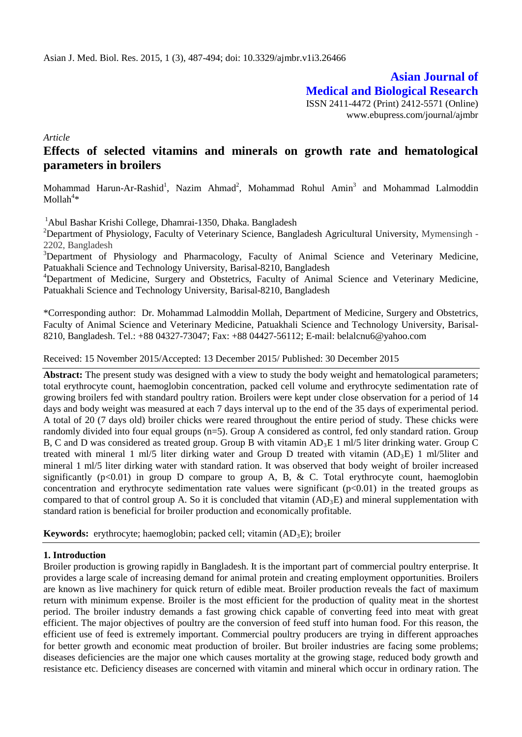**Asian Journal of Medical and Biological Research** ISSN 2411-4472 (Print) 2412-5571 (Online) www.ebupress.com/journal/ajmbr

*Article*

# **Effects of selected vitamins and minerals on growth rate and hematological parameters in broilers**

Mohammad Harun-Ar-Rashid<sup>1</sup>, Nazim Ahmad<sup>2</sup>, Mohammad Rohul Amin<sup>3</sup> and Mohammad Lalmoddin  $M$ ollah $4*$ 

1 Abul Bashar Krishi College, Dhamrai-1350, Dhaka. Bangladesh

<sup>2</sup>Department of Physiology, Faculty of Veterinary Science, Bangladesh Agricultural University, Mymensingh -2202, Bangladesh

<sup>3</sup>Department of Physiology and Pharmacology, Faculty of Animal Science and Veterinary Medicine, Patuakhali Science and Technology University, Barisal-8210, Bangladesh

<sup>4</sup>Department of Medicine, Surgery and Obstetrics, Faculty of Animal Science and Veterinary Medicine, Patuakhali Science and Technology University, Barisal-8210, Bangladesh

\*Corresponding author: Dr. Mohammad Lalmoddin Mollah, Department of Medicine, Surgery and Obstetrics, Faculty of Animal Science and Veterinary Medicine, Patuakhali Science and Technology University, Barisal-8210, Bangladesh. Tel.: +88 04327-73047; Fax: +88 04427-56112; E-mail: [belalcnu6@yahoo.com](mailto:belalcnu6@yahoo.com)

Received: 15 November 2015/Accepted: 13 December 2015/ Published: 30 December 2015

**Abstract:** The present study was designed with a view to study the body weight and hematological parameters; total erythrocyte count, haemoglobin concentration, packed cell volume and erythrocyte sedimentation rate of growing broilers fed with standard poultry ration. Broilers were kept under close observation for a period of 14 days and body weight was measured at each 7 days interval up to the end of the 35 days of experimental period. A total of 20 (7 days old) broiler chicks were reared throughout the entire period of study. These chicks were randomly divided into four equal groups (n=5). Group A considered as control, fed only standard ration. Group B, C and D was considered as treated group. Group B with vitamin AD<sub>3</sub>E 1 ml/5 liter drinking water. Group C treated with mineral 1 ml/5 liter dirking water and Group D treated with vitamin  $(AD_3E)$  1 ml/5liter and mineral 1 ml/5 liter dirking water with standard ration. It was observed that body weight of broiler increased significantly ( $p<0.01$ ) in group D compare to group A, B, & C. Total erythrocyte count, haemoglobin concentration and erythrocyte sedimentation rate values were significant  $(p<0.01)$  in the treated groups as compared to that of control group A. So it is concluded that vitamin  $(AD_3E)$  and mineral supplementation with standard ration is beneficial for broiler production and economically profitable.

Keywords: erythrocyte; haemoglobin; packed cell; vitamin (AD<sub>3</sub>E); broiler

# **1. Introduction**

Broiler production is growing rapidly in Bangladesh. It is the important part of commercial poultry enterprise. It provides a large scale of increasing demand for animal protein and creating employment opportunities. Broilers are known as live machinery for quick return of edible meat. Broiler production reveals the fact of maximum return with minimum expense. Broiler is the most efficient for the production of quality meat in the shortest period. The broiler industry demands a fast growing chick capable of converting feed into meat with great efficient. The major objectives of poultry are the conversion of feed stuff into human food. For this reason, the efficient use of feed is extremely important. Commercial poultry producers are trying in different approaches for better growth and economic meat production of broiler. But broiler industries are facing some problems; diseases deficiencies are the major one which causes mortality at the growing stage, reduced body growth and resistance etc. Deficiency diseases are concerned with vitamin and mineral which occur in ordinary ration. The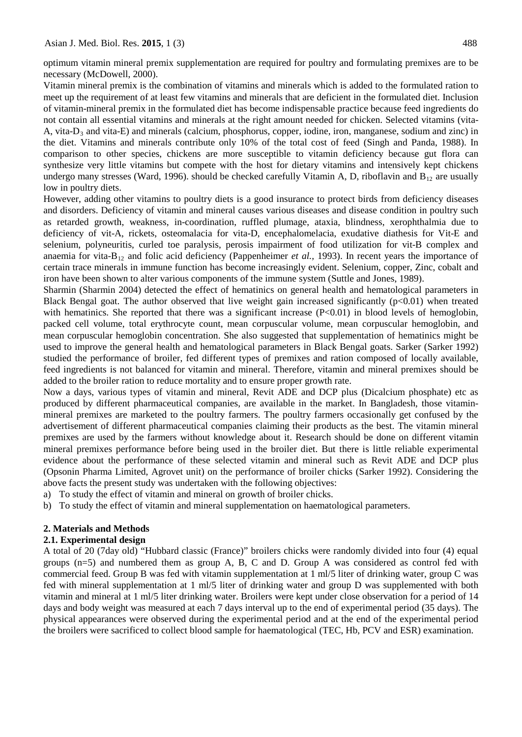optimum vitamin mineral premix supplementation are required for poultry and formulating premixes are to be necessary (McDowell, 2000).

Vitamin mineral premix is the combination of vitamins and minerals which is added to the formulated ration to meet up the requirement of at least few vitamins and minerals that are deficient in the formulated diet. Inclusion of vitamin-mineral premix in the formulated diet has become indispensable practice because feed ingredients do not contain all essential vitamins and minerals at the right amount needed for chicken. Selected vitamins (vita-A, vita- $D_3$  and vita-E) and minerals (calcium, phosphorus, copper, iodine, iron, manganese, sodium and zinc) in the diet. Vitamins and minerals contribute only 10% of the total cost of feed (Singh and Panda, 1988). In comparison to other species, chickens are more susceptible to vitamin deficiency because gut flora can synthesize very little vitamins but compete with the host for dietary vitamins and intensively kept chickens undergo many stresses (Ward, 1996). should be checked carefully Vitamin A, D, riboflavin and  $B_{12}$  are usually low in poultry diets.

However, adding other vitamins to poultry diets is a good insurance to protect birds from deficiency diseases and disorders. Deficiency of vitamin and mineral causes various diseases and disease condition in poultry such as retarded growth, weakness, in-coordination, ruffled plumage, ataxia, blindness, xerophthalmia due to deficiency of vit-A, rickets, osteomalacia for vita-D, encephalomelacia, exudative diathesis for Vit-E and selenium, polyneuritis, curled toe paralysis, perosis impairment of food utilization for vit-B complex and anaemia for vita-B<sub>12</sub> and folic acid deficiency (Pappenheimer *et al.,* 1993). In recent years the importance of certain trace minerals in immune function has become increasingly evident. Selenium, copper, Zinc, cobalt and iron have been shown to alter various components of the immune system (Suttle and Jones, 1989).

Sharmin (Sharmin 2004) detected the effect of hematinics on general health and hematological parameters in Black Bengal goat. The author observed that live weight gain increased significantly  $(p<0.01)$  when treated with hematinics. She reported that there was a significant increase  $(P<0.01)$  in blood levels of hemoglobin, packed cell volume, total erythrocyte count, mean corpuscular volume, mean corpuscular hemoglobin, and mean corpuscular hemoglobin concentration. She also suggested that supplementation of hematinics might be used to improve the general health and hematological parameters in Black Bengal goats. Sarker (Sarker 1992) studied the performance of broiler, fed different types of premixes and ration composed of locally available, feed ingredients is not balanced for vitamin and mineral. Therefore, vitamin and mineral premixes should be added to the broiler ration to reduce mortality and to ensure proper growth rate.

Now a days, various types of vitamin and mineral, Revit ADE and DCP plus (Dicalcium phosphate) etc as produced by different pharmaceutical companies, are available in the market. In Bangladesh, those vitaminmineral premixes are marketed to the poultry farmers. The poultry farmers occasionally get confused by the advertisement of different pharmaceutical companies claiming their products as the best. The vitamin mineral premixes are used by the farmers without knowledge about it. Research should be done on different vitamin mineral premixes performance before being used in the broiler diet. But there is little reliable experimental evidence about the performance of these selected vitamin and mineral such as Revit ADE and DCP plus (Opsonin Pharma Limited, Agrovet unit) on the performance of broiler chicks (Sarker 1992). Considering the above facts the present study was undertaken with the following objectives:

- a) To study the effect of vitamin and mineral on growth of broiler chicks.
- b) To study the effect of vitamin and mineral supplementation on haematological parameters.

#### **2. Materials and Methods**

#### **2.1. Experimental design**

A total of 20 (7day old) "Hubbard classic (France)" broilers chicks were randomly divided into four (4) equal groups (n=5) and numbered them as group A, B, C and D. Group A was considered as control fed with commercial feed. Group B was fed with vitamin supplementation at 1 ml/5 liter of drinking water, group C was fed with mineral supplementation at 1 ml/5 liter of drinking water and group D was supplemented with both vitamin and mineral at 1 ml/5 liter drinking water. Broilers were kept under close observation for a period of 14 days and body weight was measured at each 7 days interval up to the end of experimental period (35 days). The physical appearances were observed during the experimental period and at the end of the experimental period the broilers were sacrificed to collect blood sample for haematological (TEC, Hb, PCV and ESR) examination.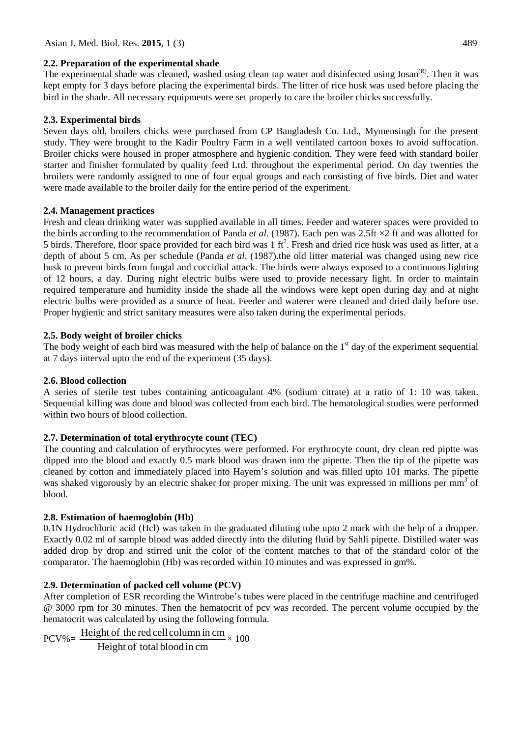### **2.2. Preparation of the experimental shade**

The experimental shade was cleaned, washed using clean tap water and disinfected using Iosan<sup>(R)</sup>. Then it was kept empty for 3 days before placing the experimental birds. The litter of rice husk was used before placing the bird in the shade. All necessary equipments were set properly to care the broiler chicks successfully.

# **2.3. Experimental birds**

Seven days old, broilers chicks were purchased from CP Bangladesh Co. Ltd., Mymensingh for the present study. They were brought to the Kadir Poultry Farm in a well ventilated cartoon boxes to avoid suffocation. Broiler chicks were housed in proper atmosphere and hygienic condition. They were feed with standard boiler starter and finisher formulated by quality feed Ltd. throughout the experimental period. On day twenties the broilers were randomly assigned to one of four equal groups and each consisting of five birds. Diet and water were made available to the broiler daily for the entire period of the experiment.

# **2.4. Management practices**

Fresh and clean drinking water was supplied available in all times. Feeder and waterer spaces were provided to the birds according to the recommendation of Panda *et al*. (1987). Each pen was 2.5ft ×2 ft and was allotted for 5 birds. Therefore, floor space provided for each bird was  $1 \text{ ft}^2$ . Fresh and dried rice husk was used as litter, at a depth of about 5 cm. As per schedule (Panda *et al*. (1987).the old litter material was changed using new rice husk to prevent birds from fungal and coccidial attack. The birds were always exposed to a continuous lighting of 12 hours, a day. During night electric bulbs were used to provide necessary light. In order to maintain required temperature and humidity inside the shade all the windows were kept open during day and at night electric bulbs were provided as a source of heat. Feeder and waterer were cleaned and dried daily before use. Proper hygienic and strict sanitary measures were also taken during the experimental periods.

# **2.5. Body weight of broiler chicks**

The body weight of each bird was measured with the help of balance on the  $1<sup>st</sup>$  day of the experiment sequential at 7 days interval upto the end of the experiment (35 days).

# **2.6. Blood collection**

A series of sterile test tubes containing anticoagulant 4% (sodium citrate) at a ratio of 1: 10 was taken. Sequential killing was done and blood was collected from each bird. The hematological studies were performed within two hours of blood collection.

# **2.7. Determination of total erythrocyte count (TEC)**

The counting and calculation of erythrocytes were performed. For erythrocyte count, dry clean red piptte was dipped into the blood and exactly 0.5 mark blood was drawn into the pipette. Then the tip of the pipette was cleaned by cotton and immediately placed into Hayem's solution and was filled upto 101 marks. The pipette was shaked vigorously by an electric shaker for proper mixing. The unit was expressed in millions per mm<sup>3</sup> of blood.

# **2.8. Estimation of haemoglobin (Hb)**

0.1N Hydrochloric acid (Hcl) was taken in the graduated diluting tube upto 2 mark with the help of a dropper. Exactly 0.02 ml of sample blood was added directly into the diluting fluid by Sahli pipette. Distilled water was added drop by drop and stirred unit the color of the content matches to that of the standard color of the comparator. The haemoglobin (Hb) was recorded within 10 minutes and was expressed in gm%.

# **2.9. Determination of packed cell volume (PCV)**

After completion of ESR recording the Wintrobe's tubes were placed in the centrifuge machine and centrifuged @ 3000 rpm for 30 minutes. Then the hematocrit of pcv was recorded. The percent volume occupied by the hematocrit was calculated by using the following formula.

Height of total blood in cm  $PCV\% = \frac{\text{Height of the red cell column in cm}}{100} \times 100$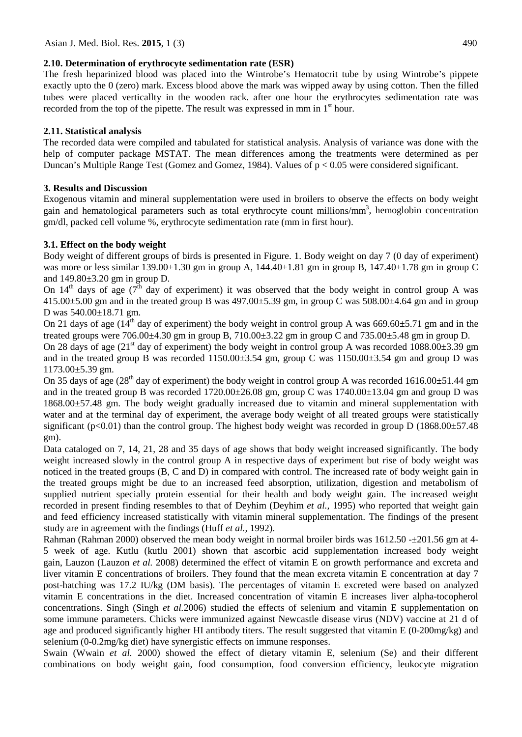### **2.10. Determination of erythrocyte sedimentation rate (ESR)**

The fresh heparinized blood was placed into the Wintrobe's Hematocrit tube by using Wintrobe's pippete exactly upto the 0 (zero) mark. Excess blood above the mark was wipped away by using cotton. Then the filled tubes were placed verticallty in the wooden rack. after one hour the erythrocytes sedimentation rate was recorded from the top of the pipette. The result was expressed in mm in  $1<sup>st</sup>$  hour.

# **2.11. Statistical analysis**

The recorded data were compiled and tabulated for statistical analysis. Analysis of variance was done with the help of computer package MSTAT. The mean differences among the treatments were determined as per Duncan's Multiple Range Test (Gomez and Gomez, 1984). Values of p < 0.05 were considered significant.

# **3. Results and Discussion**

Exogenous vitamin and mineral supplementation were used in broilers to observe the effects on body weight gain and hematological parameters such as total erythrocyte count millions/mm<sup>3</sup>, hemoglobin concentration gm/dl, packed cell volume %, erythrocyte sedimentation rate (mm in first hour).

# **3.1. Effect on the body weight**

Body weight of different groups of birds is presented in Figure. 1. Body weight on day 7 (0 day of experiment) was more or less similar 139.00 $\pm$ 1.30 gm in group A, 144.40 $\pm$ 1.81 gm in group B, 147.40 $\pm$ 1.78 gm in group C and 149.80±3.20 gm in group D.

On  $14<sup>th</sup>$  days of age (7<sup>th</sup> day of experiment) it was observed that the body weight in control group A was  $415.00\pm5.00$  gm and in the treated group B was  $497.00\pm5.39$  gm, in group C was  $508.00\pm4.64$  gm and in group D was 540.00±18.71 gm.

On 21 days of age ( $14^{th}$  day of experiment) the body weight in control group A was 669.60±5.71 gm and in the treated groups were 706.00±4.30 gm in group B, 710.00±3.22 gm in group C and 735.00±5.48 gm in group D.

On 28 days of age  $(21<sup>st</sup>$  day of experiment) the body weight in control group A was recorded 1088.00 $\pm$ 3.39 gm and in the treated group B was recorded 1150.00 $\pm$ 3.54 gm, group C was 1150.00 $\pm$ 3.54 gm and group D was 1173.00±5.39 gm.

On 35 days of age  $(28<sup>th</sup>$  day of experiment) the body weight in control group A was recorded 1616.00 $\pm$ 51.44 gm and in the treated group B was recorded 1720.00±26.08 gm, group C was 1740.00±13.04 gm and group D was 1868.00±57.48 gm. The body weight gradually increased due to vitamin and mineral supplementation with water and at the terminal day of experiment, the average body weight of all treated groups were statistically significant (p<0.01) than the control group. The highest body weight was recorded in group D (1868.00 $\pm$ 57.48 gm).

Data cataloged on 7, 14, 21, 28 and 35 days of age shows that body weight increased significantly. The body weight increased slowly in the control group A in respective days of experiment but rise of body weight was noticed in the treated groups (B, C and D) in compared with control. The increased rate of body weight gain in the treated groups might be due to an increased feed absorption, utilization, digestion and metabolism of supplied nutrient specially protein essential for their health and body weight gain. The increased weight recorded in present finding resembles to that of Deyhim (Deyhim *et al.,* 1995) who reported that weight gain and feed efficiency increased statistically with vitamin mineral supplementation. The findings of the present study are in agreement with the findings (Huff *et al.,* 1992).

Rahman (Rahman 2000) observed the mean body weight in normal broiler birds was 1612.50 - $\pm$ 201.56 gm at 4-5 week of age. [Kutlu \(](http://www.ncbi.nlm.nih.gov/entrez/query.fcgi?db=pubmed&cmd=Search&itool=pubmed_AbstractPlus&term=%22Kutlu+HR%22%5BAuthor%5D)kutlu 2001) shown that ascorbic acid supplementation increased body weight gain, [Lauzon \(](http://www.ncbi.nlm.nih.gov/sites/entrez?Db=pubmed&Cmd=Search&Term=%22Lauzon%20DA%22%5BAuthor%5D&itool=EntrezSystem2.PEntrez.Pubmed.Pubmed_ResultsPanel.Pubmed_RVAbstract)Lauzon *et al.* 2008) determined the effect of vitamin E on growth performance and excreta and liver vitamin E concentrations of broilers. They found that the mean excreta vitamin E concentration at day 7 post-hatching was 17.2 IU/kg (DM basis). The percentages of vitamin E excreted were based on analyzed vitamin E concentrations in the diet. Increased concentration of vitamin E increases liver alpha-tocopherol concentrations. [Singh](http://www.ncbi.nlm.nih.gov/sites/entrez?Db=pubmed&Cmd=Search&Term=%22Singh%20H%22%5BAuthor%5D&itool=EntrezSystem2.PEntrez.Pubmed.Pubmed_ResultsPanel.Pubmed_DiscoveryPanel.Pubmed_RVAbstractPlus) (Singh *et al.*2006) studied the effects of selenium and vitamin E supplementation on some immune parameters. Chicks were immunized against Newcastle disease virus (NDV) vaccine at 21 d of age and produced significantly higher HI antibody titers. The result suggested that vitamin E (0-200mg/kg) and selenium (0-0.2mg/kg diet) have synergistic effects on immune responses.

[Swain \(Wwain](http://www.ncbi.nlm.nih.gov/entrez/query.fcgi?db=pubmed&cmd=Search&itool=pubmed_AbstractPlus&term=%22Swain+BK%22%5BAuthor%5D) *et al.* 2000) showed the effect of dietary vitamin E, selenium (Se) and their different combinations on body weight gain, food consumption, food conversion efficiency, leukocyte migration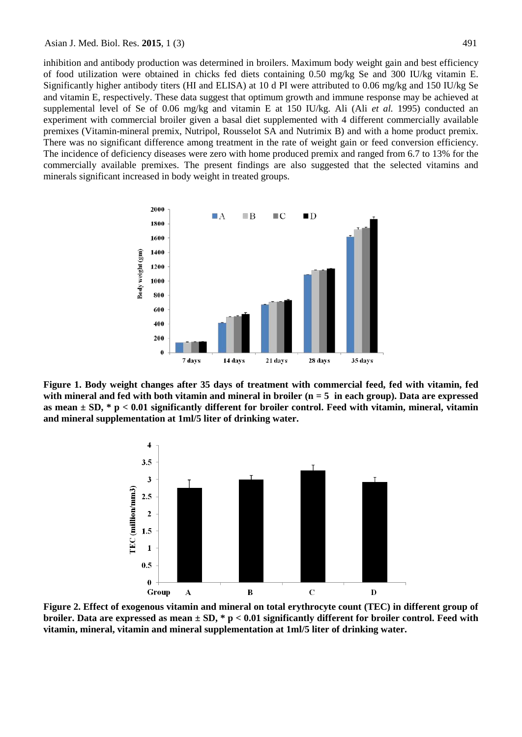inhibition and antibody production was determined in broilers. Maximum body weight gain and best efficiency of food utilization were obtained in chicks fed diets containing 0.50 mg/kg Se and 300 IU/kg vitamin E. Significantly higher antibody titers (HI and ELISA) at 10 d PI were attributed to 0.06 mg/kg and 150 IU/kg Se and vitamin E, respectively. These data suggest that optimum growth and immune response may be achieved at supplemental level of Se of 0.06 mg/kg and vitamin E at 150 IU/kg. Ali (Ali *et al.* 1995) conducted an experiment with commercial broiler given a basal diet supplemented with 4 different commercially available premixes (Vitamin-mineral premix, Nutripol, Rousselot SA and Nutrimix B) and with a home product premix. There was no significant difference among treatment in the rate of weight gain or feed conversion efficiency. The incidence of deficiency diseases were zero with home produced premix and ranged from 6.7 to 13% for the commercially available premixes. The present findings are also suggested that the selected vitamins and minerals significant increased in body weight in treated groups.



**Figure 1. Body weight changes after 35 days of treatment with commercial feed, fed with vitamin, fed with mineral and fed with both vitamin and mineral in broiler (n = 5 in each group). Data are expressed as mean ± SD, \* p < 0.01 significantly different for broiler control. Feed with vitamin, mineral, vitamin and mineral supplementation at 1ml/5 liter of drinking water.**



**Figure 2. Effect of exogenous vitamin and mineral on total erythrocyte count (TEC) in different group of broiler. Data are expressed as mean ± SD, \* p < 0.01 significantly different for broiler control. Feed with vitamin, mineral, vitamin and mineral supplementation at 1ml/5 liter of drinking water.**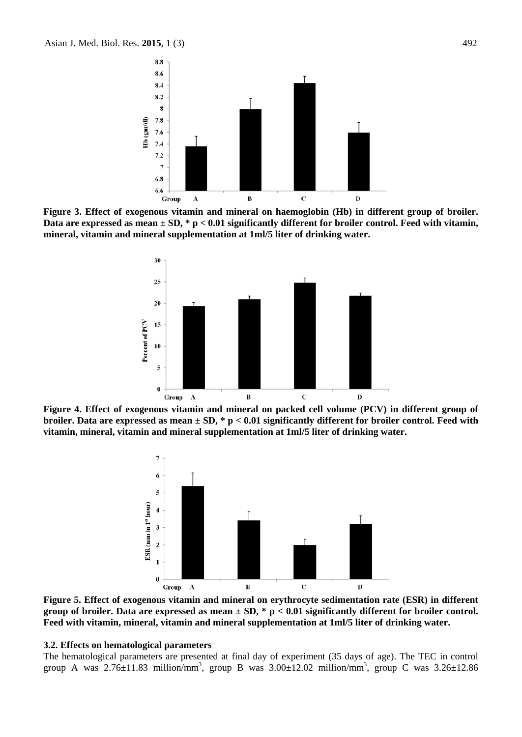

**Figure 3. Effect of exogenous vitamin and mineral on haemoglobin (Hb) in different group of broiler. Data are expressed as mean ± SD, \* p < 0.01 significantly different for broiler control. Feed with vitamin, mineral, vitamin and mineral supplementation at 1ml/5 liter of drinking water.**



**Figure 4. Effect of exogenous vitamin and mineral on packed cell volume (PCV) in different group of broiler. Data are expressed as mean ± SD, \* p < 0.01 significantly different for broiler control. Feed with vitamin, mineral, vitamin and mineral supplementation at 1ml/5 liter of drinking water.**



**Figure 5. Effect of exogenous vitamin and mineral on erythrocyte sedimentation rate (ESR) in different group of broiler. Data are expressed as mean ± SD, \* p < 0.01 significantly different for broiler control. Feed with vitamin, mineral, vitamin and mineral supplementation at 1ml/5 liter of drinking water.**

#### **3.2. Effects on hematological parameters**

The hematological parameters are presented at final day of experiment (35 days of age). The TEC in control group A was  $2.76 \pm 11.83$  million/mm<sup>3</sup>, group B was  $3.00 \pm 12.02$  million/mm<sup>3</sup>, group C was  $3.26 \pm 12.86$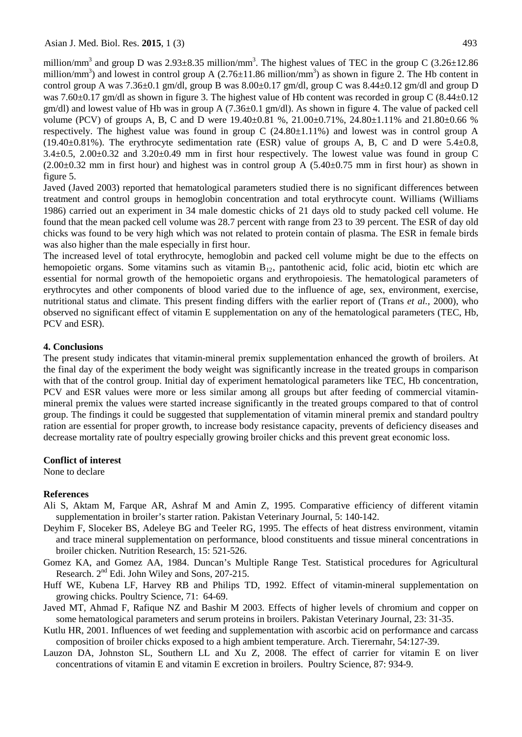Asian J. Med. Biol. Res. **2015**, 1 (3) 493

million/mm<sup>3</sup> and group D was 2.93 $\pm$ 8.35 million/mm<sup>3</sup>. The highest values of TEC in the group C (3.26 $\pm$ 12.86 million/mm<sup>3</sup>) and lowest in control group A  $(2.76 \pm 11.86 \text{ million/mm}^3)$  as shown in figure 2. The Hb content in control group A was  $7.36\pm0.1$  gm/dl, group B was  $8.00\pm0.17$  gm/dl, group C was  $8.44\pm0.12$  gm/dl and group D was 7.60 $\pm$ 0.17 gm/dl as shown in figure 3. The highest value of Hb content was recorded in group C (8.44 $\pm$ 0.12 gm/dl) and lowest value of Hb was in group A (7.36±0.1 gm/dl). As shown in figure 4. The value of packed cell volume (PCV) of groups A, B, C and D were 19.40±0.81 %, 21.00±0.71%, 24.80±1.11% and 21.80±0.66 % respectively. The highest value was found in group C (24.80±1.11%) and lowest was in control group A  $(19.40\pm0.81\%)$ . The erythrocyte sedimentation rate (ESR) value of groups A, B, C and D were 5.4 $\pm$ 0.8, 3.4±0.5, 2.00±0.32 and 3.20±0.49 mm in first hour respectively. The lowest value was found in group C  $(2.00\pm0.32$  mm in first hour) and highest was in control group A  $(5.40\pm0.75$  mm in first hour) as shown in figure 5.

Javed (Javed 2003) reported that hematological parameters studied there is no significant differences between treatment and control groups in hemoglobin concentration and total erythrocyte count. Williams (Williams 1986) carried out an experiment in 34 male domestic chicks of 21 days old to study packed cell volume. He found that the mean packed cell volume was 28.7 percent with range from 23 to 39 percent. The ESR of day old chicks was found to be very high which was not related to protein contain of plasma. The ESR in female birds was also higher than the male especially in first hour.

The increased level of total erythrocyte, hemoglobin and packed cell volume might be due to the effects on hemopoietic organs. Some vitamins such as vitamin  $B_{12}$ , pantothenic acid, folic acid, biotin etc which are essential for normal growth of the hemopoietic organs and erythropoiesis. The hematological parameters of erythrocytes and other components of blood varied due to the influence of age, sex, environment, exercise, nutritional status and climate. This present finding differs with the earlier report of (Trans *et al.,* 2000), who observed no significant effect of vitamin E supplementation on any of the hematological parameters (TEC, Hb, PCV and ESR).

#### **4. Conclusions**

The present study indicates that vitamin-mineral premix supplementation enhanced the growth of broilers. At the final day of the experiment the body weight was significantly increase in the treated groups in comparison with that of the control group. Initial day of experiment hematological parameters like TEC, Hb concentration, PCV and ESR values were more or less similar among all groups but after feeding of commercial vitaminmineral premix the values were started increase significantly in the treated groups compared to that of control group. The findings it could be suggested that supplementation of vitamin mineral premix and standard poultry ration are essential for proper growth, to increase body resistance capacity, prevents of deficiency diseases and decrease mortality rate of poultry especially growing broiler chicks and this prevent great economic loss.

#### **Conflict of interest**

None to declare

#### **References**

- Ali S, Aktam M, Farque AR, Ashraf M and Amin Z, 1995. Comparative efficiency of different vitamin supplementation in broiler's starter ration. Pakistan Veterinary Journal, 5: 140-142.
- Deyhim F, Sloceker BS, Adeleye BG and Teeler RG, 1995. The effects of heat distress environment, vitamin and trace mineral supplementation on performance, blood constituents and tissue mineral concentrations in broiler chicken. Nutrition Research, 15: 521-526.
- Gomez KA, and Gomez AA, 1984. Duncan's Multiple Range Test. Statistical procedures for Agricultural Research. 2<sup>nd</sup> Edi. John Wiley and Sons, 207-215.
- Huff WE, Kubena LF, Harvey RB and Philips TD, 1992. Effect of vitamin-mineral supplementation on growing chicks. Poultry Science, 71: 64-69.
- Javed MT, Ahmad F, Rafique NZ and Bashir M 2003. Effects of higher levels of chromium and copper on some hematological parameters and serum proteins in broilers. Pakistan Veterinary Journal, 23: 31-35.
- [Kutlu HR](http://www.ncbi.nlm.nih.gov/entrez/query.fcgi?db=pubmed&cmd=Search&itool=pubmed_AbstractPlus&term=%22Kutlu+HR%22%5BAuthor%5D) , 2001. Influences of wet feeding and supplementation with ascorbic acid on performance and carcass composition of broiler chicks exposed to a high ambient temperature[. Arch. Tierernahr,](javascript:AL_get(this,%20) 54:127-39.
- [Lauzon DA,](http://www.ncbi.nlm.nih.gov/sites/entrez?Db=pubmed&Cmd=Search&Term=%22Lauzon%20DA%22%5BAuthor%5D&itool=EntrezSystem2.PEntrez.Pubmed.Pubmed_ResultsPanel.Pubmed_RVAbstract) [Johnston SL,](http://www.ncbi.nlm.nih.gov/sites/entrez?Db=pubmed&Cmd=Search&Term=%22Johnston%20SL%22%5BAuthor%5D&itool=EntrezSystem2.PEntrez.Pubmed.Pubmed_ResultsPanel.Pubmed_RVAbstract) [Southern LL](http://www.ncbi.nlm.nih.gov/sites/entrez?Db=pubmed&Cmd=Search&Term=%22Southern%20LL%22%5BAuthor%5D&itool=EntrezSystem2.PEntrez.Pubmed.Pubmed_ResultsPanel.Pubmed_RVAbstract) and [Xu Z,](http://www.ncbi.nlm.nih.gov/sites/entrez?Db=pubmed&Cmd=Search&Term=%22Xu%20Z%22%5BAuthor%5D&itool=EntrezSystem2.PEntrez.Pubmed.Pubmed_ResultsPanel.Pubmed_RVAbstract) 2008. The effect of carrier for vitamin E on liver concentrations of vitamin E and vitamin E excretion in broilers. [Poultry Science,](javascript:AL_get(this,%20) 87: 934-9.